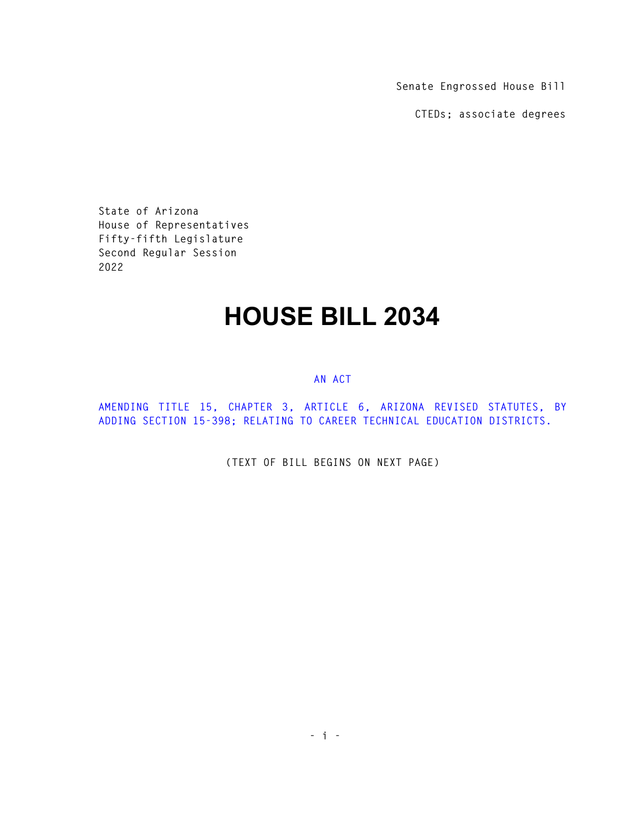**Senate Engrossed House Bill** 

**CTEDs; associate degrees** 

**State of Arizona House of Representatives Fifty-fifth Legislature Second Regular Session 2022** 

## **HOUSE BILL 2034**

## **AN ACT**

**AMENDING TITLE 15, CHAPTER 3, ARTICLE 6, ARIZONA REVISED STATUTES, BY ADDING SECTION 15-398; RELATING TO CAREER TECHNICAL EDUCATION DISTRICTS.** 

**(TEXT OF BILL BEGINS ON NEXT PAGE)**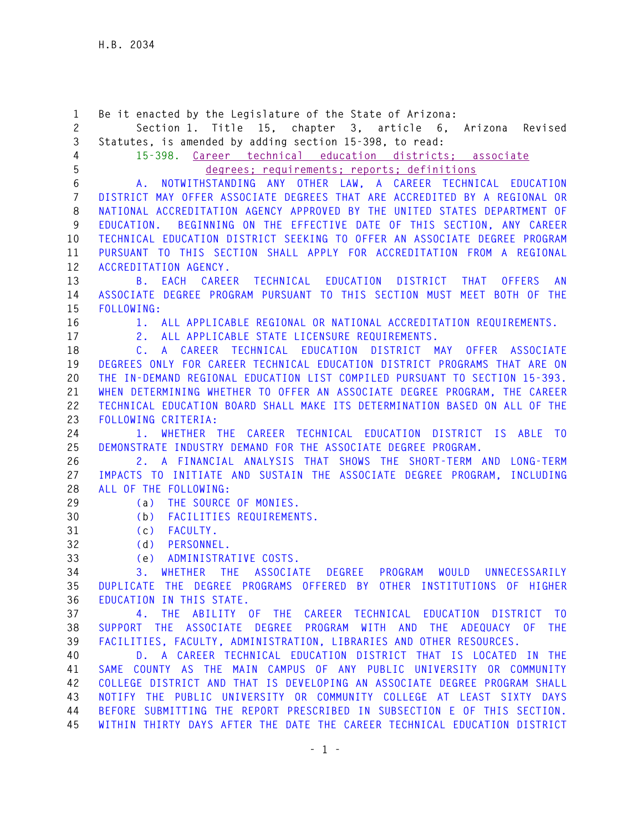**1 Be it enacted by the Legislature of the State of Arizona: 2 Section 1. Title 15, chapter 3, article 6, Arizona Revised 3 Statutes, is amended by adding section 15-398, to read: 4 15-398. Career technical education districts; associate 5 degrees; requirements; reports; definitions 6 A. NOTWITHSTANDING ANY OTHER LAW, A CAREER TECHNICAL EDUCATION 7 DISTRICT MAY OFFER ASSOCIATE DEGREES THAT ARE ACCREDITED BY A REGIONAL OR 8 NATIONAL ACCREDITATION AGENCY APPROVED BY THE UNITED STATES DEPARTMENT OF 9 EDUCATION. BEGINNING ON THE EFFECTIVE DATE OF THIS SECTION, ANY CAREER 10 TECHNICAL EDUCATION DISTRICT SEEKING TO OFFER AN ASSOCIATE DEGREE PROGRAM 11 PURSUANT TO THIS SECTION SHALL APPLY FOR ACCREDITATION FROM A REGIONAL 12 ACCREDITATION AGENCY. 13 B. EACH CAREER TECHNICAL EDUCATION DISTRICT THAT OFFERS AN 14 ASSOCIATE DEGREE PROGRAM PURSUANT TO THIS SECTION MUST MEET BOTH OF THE 15 FOLLOWING: 16 1. ALL APPLICABLE REGIONAL OR NATIONAL ACCREDITATION REQUIREMENTS. 17 2. ALL APPLICABLE STATE LICENSURE REQUIREMENTS. 18 C. A CAREER TECHNICAL EDUCATION DISTRICT MAY OFFER ASSOCIATE 19 DEGREES ONLY FOR CAREER TECHNICAL EDUCATION DISTRICT PROGRAMS THAT ARE ON 20 THE IN-DEMAND REGIONAL EDUCATION LIST COMPILED PURSUANT TO SECTION 15-393. 21 WHEN DETERMINING WHETHER TO OFFER AN ASSOCIATE DEGREE PROGRAM, THE CAREER 22 TECHNICAL EDUCATION BOARD SHALL MAKE ITS DETERMINATION BASED ON ALL OF THE 23 FOLLOWING CRITERIA: 24 1. WHETHER THE CAREER TECHNICAL EDUCATION DISTRICT IS ABLE TO 25 DEMONSTRATE INDUSTRY DEMAND FOR THE ASSOCIATE DEGREE PROGRAM. 26 2. A FINANCIAL ANALYSIS THAT SHOWS THE SHORT-TERM AND LONG-TERM 27 IMPACTS TO INITIATE AND SUSTAIN THE ASSOCIATE DEGREE PROGRAM, INCLUDING 28 ALL OF THE FOLLOWING: 29 (a) THE SOURCE OF MONIES. 30 (b) FACILITIES REQUIREMENTS. 31 (c) FACULTY. 32 (d) PERSONNEL. 33 (e) ADMINISTRATIVE COSTS. 34 3. WHETHER THE ASSOCIATE DEGREE PROGRAM WOULD UNNECESSARILY 35 DUPLICATE THE DEGREE PROGRAMS OFFERED BY OTHER INSTITUTIONS OF HIGHER 36 EDUCATION IN THIS STATE. 37 4. THE ABILITY OF THE CAREER TECHNICAL EDUCATION DISTRICT TO 38 SUPPORT THE ASSOCIATE DEGREE PROGRAM WITH AND THE ADEQUACY OF THE 39 FACILITIES, FACULTY, ADMINISTRATION, LIBRARIES AND OTHER RESOURCES. 40 D. A CAREER TECHNICAL EDUCATION DISTRICT THAT IS LOCATED IN THE 41 SAME COUNTY AS THE MAIN CAMPUS OF ANY PUBLIC UNIVERSITY OR COMMUNITY 42 COLLEGE DISTRICT AND THAT IS DEVELOPING AN ASSOCIATE DEGREE PROGRAM SHALL 43 NOTIFY THE PUBLIC UNIVERSITY OR COMMUNITY COLLEGE AT LEAST SIXTY DAYS 44 BEFORE SUBMITTING THE REPORT PRESCRIBED IN SUBSECTION E OF THIS SECTION. 45 WITHIN THIRTY DAYS AFTER THE DATE THE CAREER TECHNICAL EDUCATION DISTRICT**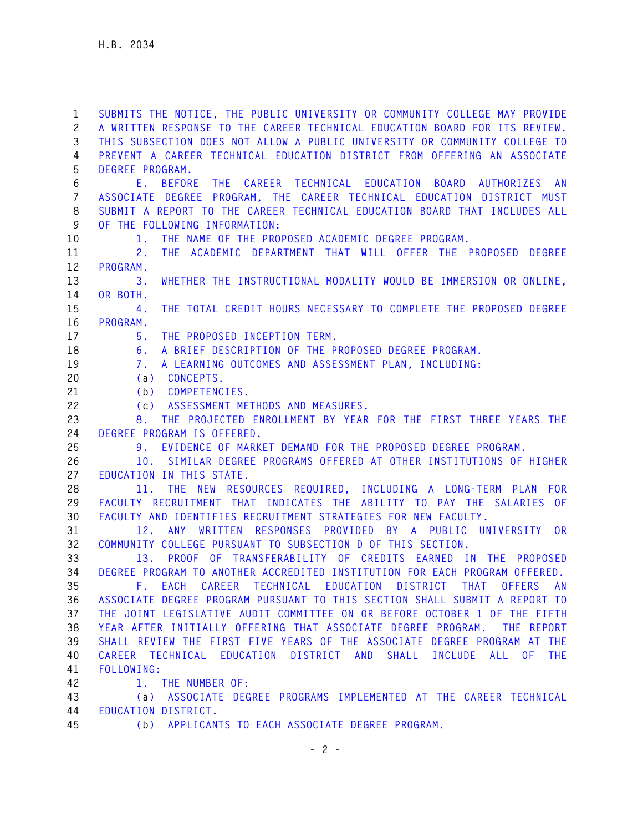**1 SUBMITS THE NOTICE, THE PUBLIC UNIVERSITY OR COMMUNITY COLLEGE MAY PROVIDE 2 A WRITTEN RESPONSE TO THE CAREER TECHNICAL EDUCATION BOARD FOR ITS REVIEW. 3 THIS SUBSECTION DOES NOT ALLOW A PUBLIC UNIVERSITY OR COMMUNITY COLLEGE TO 4 PREVENT A CAREER TECHNICAL EDUCATION DISTRICT FROM OFFERING AN ASSOCIATE 5 DEGREE PROGRAM. 6 E. BEFORE THE CAREER TECHNICAL EDUCATION BOARD AUTHORIZES AN 7 ASSOCIATE DEGREE PROGRAM, THE CAREER TECHNICAL EDUCATION DISTRICT MUST 8 SUBMIT A REPORT TO THE CAREER TECHNICAL EDUCATION BOARD THAT INCLUDES ALL 9 OF THE FOLLOWING INFORMATION: 10 1. THE NAME OF THE PROPOSED ACADEMIC DEGREE PROGRAM. 11 2. THE ACADEMIC DEPARTMENT THAT WILL OFFER THE PROPOSED DEGREE 12 PROGRAM. 13 3. WHETHER THE INSTRUCTIONAL MODALITY WOULD BE IMMERSION OR ONLINE, 14 OR BOTH. 15 4. THE TOTAL CREDIT HOURS NECESSARY TO COMPLETE THE PROPOSED DEGREE 16 PROGRAM. 17 5. THE PROPOSED INCEPTION TERM. 18 6. A BRIEF DESCRIPTION OF THE PROPOSED DEGREE PROGRAM. 19 7. A LEARNING OUTCOMES AND ASSESSMENT PLAN, INCLUDING: 20 (a) CONCEPTS. 21 (b) COMPETENCIES. 22 (c) ASSESSMENT METHODS AND MEASURES. 23 8. THE PROJECTED ENROLLMENT BY YEAR FOR THE FIRST THREE YEARS THE 24 DEGREE PROGRAM IS OFFERED. 25 9. EVIDENCE OF MARKET DEMAND FOR THE PROPOSED DEGREE PROGRAM. 26 10. SIMILAR DEGREE PROGRAMS OFFERED AT OTHER INSTITUTIONS OF HIGHER 27 EDUCATION IN THIS STATE. 28 11. THE NEW RESOURCES REQUIRED, INCLUDING A LONG-TERM PLAN FOR 29 FACULTY RECRUITMENT THAT INDICATES THE ABILITY TO PAY THE SALARIES OF 30 FACULTY AND IDENTIFIES RECRUITMENT STRATEGIES FOR NEW FACULTY. 31 12. ANY WRITTEN RESPONSES PROVIDED BY A PUBLIC UNIVERSITY OR 32 COMMUNITY COLLEGE PURSUANT TO SUBSECTION D OF THIS SECTION. 33 13. PROOF OF TRANSFERABILITY OF CREDITS EARNED IN THE PROPOSED 34 DEGREE PROGRAM TO ANOTHER ACCREDITED INSTITUTION FOR EACH PROGRAM OFFERED. 35 F. EACH CAREER TECHNICAL EDUCATION DISTRICT THAT OFFERS AN 36 ASSOCIATE DEGREE PROGRAM PURSUANT TO THIS SECTION SHALL SUBMIT A REPORT TO 37 THE JOINT LEGISLATIVE AUDIT COMMITTEE ON OR BEFORE OCTOBER 1 OF THE FIFTH 38 YEAR AFTER INITIALLY OFFERING THAT ASSOCIATE DEGREE PROGRAM. THE REPORT 39 SHALL REVIEW THE FIRST FIVE YEARS OF THE ASSOCIATE DEGREE PROGRAM AT THE 40 CAREER TECHNICAL EDUCATION DISTRICT AND SHALL INCLUDE ALL OF THE 41 FOLLOWING: 42 1. THE NUMBER OF: 43 (a) ASSOCIATE DEGREE PROGRAMS IMPLEMENTED AT THE CAREER TECHNICAL 44 EDUCATION DISTRICT. 45 (b) APPLICANTS TO EACH ASSOCIATE DEGREE PROGRAM.** 

 **- 2 -**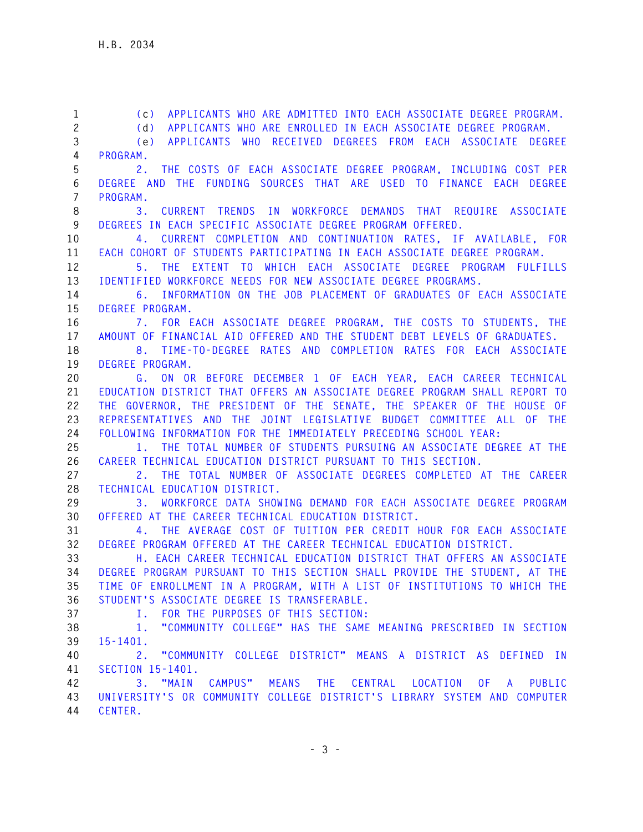| $\mathbf{1}$   | (c) APPLICANTS WHO ARE ADMITTED INTO EACH ASSOCIATE DEGREE PROGRAM.        |
|----------------|----------------------------------------------------------------------------|
| $\overline{c}$ | APPLICANTS WHO ARE ENROLLED IN EACH ASSOCIATE DEGREE PROGRAM.<br>(d)       |
| 3              | APPLICANTS WHO RECEIVED DEGREES FROM EACH ASSOCIATE DEGREE<br>(e)          |
| 4              | PROGRAM.                                                                   |
| 5              | THE COSTS OF EACH ASSOCIATE DEGREE PROGRAM, INCLUDING COST PER<br>2.       |
| 6              | DEGREE AND THE FUNDING SOURCES THAT ARE USED TO FINANCE EACH DEGREE        |
| $\overline{7}$ | PROGRAM.                                                                   |
| 8              | CURRENT TRENDS IN WORKFORCE DEMANDS THAT REQUIRE ASSOCIATE<br>3.           |
| 9              | DEGREES IN EACH SPECIFIC ASSOCIATE DEGREE PROGRAM OFFERED.                 |
| 10             | CURRENT COMPLETION AND CONTINUATION RATES, IF AVAILABLE, FOR<br>4.         |
| 11             | EACH COHORT OF STUDENTS PARTICIPATING IN EACH ASSOCIATE DEGREE PROGRAM.    |
| 12             | 5. THE EXTENT TO WHICH EACH ASSOCIATE DEGREE PROGRAM FULFILLS              |
| 13             | IDENTIFIED WORKFORCE NEEDS FOR NEW ASSOCIATE DEGREE PROGRAMS.              |
| 14             | 6. INFORMATION ON THE JOB PLACEMENT OF GRADUATES OF EACH ASSOCIATE         |
| 15             | DEGREE PROGRAM.                                                            |
| 16             | 7. FOR EACH ASSOCIATE DEGREE PROGRAM, THE COSTS TO STUDENTS, THE           |
| 17             | AMOUNT OF FINANCIAL AID OFFERED AND THE STUDENT DEBT LEVELS OF GRADUATES.  |
| 18             | 8. TIME-TO-DEGREE RATES AND COMPLETION RATES FOR EACH ASSOCIATE            |
| 19             | DEGREE PROGRAM.                                                            |
| 20             | ON OR BEFORE DECEMBER 1 OF EACH YEAR, EACH CAREER TECHNICAL<br>G.          |
| 21             | EDUCATION DISTRICT THAT OFFERS AN ASSOCIATE DEGREE PROGRAM SHALL REPORT TO |
| 22             | THE GOVERNOR, THE PRESIDENT OF THE SENATE, THE SPEAKER OF THE HOUSE OF     |
| 23             | REPRESENTATIVES AND THE JOINT LEGISLATIVE BUDGET COMMITTEE ALL OF THE      |
| 24             | FOLLOWING INFORMATION FOR THE IMMEDIATELY PRECEDING SCHOOL YEAR:           |
| 25             | THE TOTAL NUMBER OF STUDENTS PURSUING AN ASSOCIATE DEGREE AT THE<br>1.     |
| 26             | CAREER TECHNICAL EDUCATION DISTRICT PURSUANT TO THIS SECTION.              |
| 27             | 2. THE TOTAL NUMBER OF ASSOCIATE DEGREES COMPLETED AT THE CAREER           |
| 28             | TECHNICAL EDUCATION DISTRICT.                                              |
| 29             | 3. WORKFORCE DATA SHOWING DEMAND FOR EACH ASSOCIATE DEGREE PROGRAM         |
| 30             | OFFERED AT THE CAREER TECHNICAL EDUCATION DISTRICT.                        |
| 31             | 4. THE AVERAGE COST OF TUITION PER CREDIT HOUR FOR EACH ASSOCIATE          |
| 32             | DEGREE PROGRAM OFFERED AT THE CAREER TECHNICAL EDUCATION DISTRICT.         |
| 33             | H. EACH CAREER TECHNICAL EDUCATION DISTRICT THAT OFFERS AN ASSOCIATE       |
| 34             | DEGREE PROGRAM PURSUANT TO THIS SECTION SHALL PROVIDE THE STUDENT, AT THE  |
| 35             | TIME OF ENROLLMENT IN A PROGRAM, WITH A LIST OF INSTITUTIONS TO WHICH THE  |
| 36             | STUDENT'S ASSOCIATE DEGREE IS TRANSFERABLE.                                |
| 37             | I. FOR THE PURPOSES OF THIS SECTION:                                       |
| 38             | "COMMUNITY COLLEGE" HAS THE SAME MEANING PRESCRIBED IN SECTION<br>1.       |
| 39             | $15 - 1401$ .                                                              |
| 40             | 2. "COMMUNITY COLLEGE DISTRICT" MEANS A DISTRICT AS DEFINED IN             |
| 41             | SECTION 15-1401.                                                           |
| 42             | 3. "MAIN CAMPUS" MEANS THE CENTRAL LOCATION OF A PUBLIC                    |
| 43             | UNIVERSITY'S OR COMMUNITY COLLEGE DISTRICT'S LIBRARY SYSTEM AND COMPUTER   |
| 44             | CENTER.                                                                    |